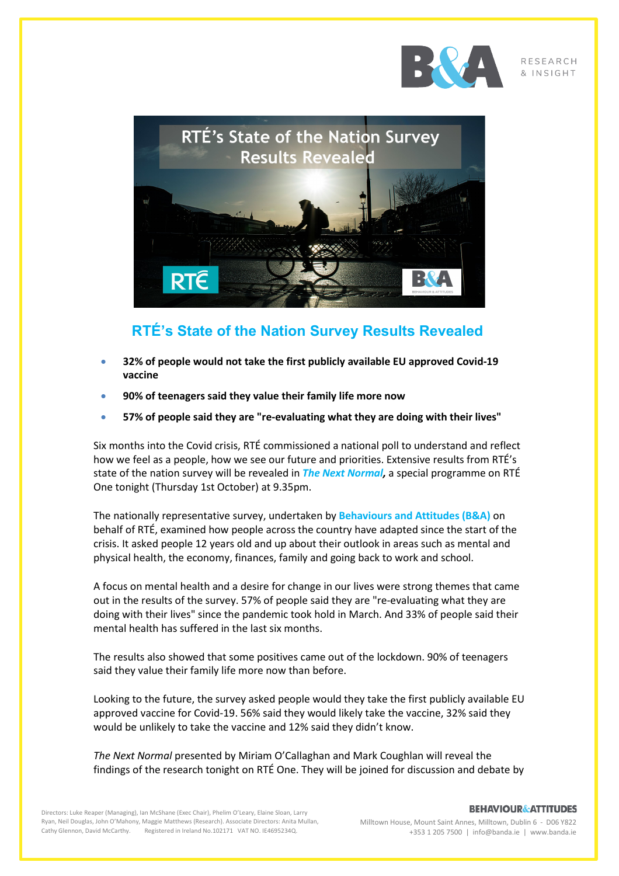

**RESEARCH** & INSIGHT



## **RTÉ's State of the Nation Survey Results Revealed**

- **32% of people would not take the first publicly available EU approved Covid-19 vaccine**
- **90% of teenagers said they value their family life more now**
- **57% of people said they are "re-evaluating what they are doing with their lives"**

Six months into the Covid crisis, RTÉ commissioned a national poll to understand and reflect how we feel as a people, how we see our future and priorities. Extensive results from RTÉ's state of the nation survey will be revealed in *The Next Normal,* a special programme on RTÉ One tonight (Thursday 1st October) at 9.35pm.

The nationally representative survey, undertaken by **Behaviours and Attitudes (B&A)** on behalf of RTÉ, examined how people across the country have adapted since the start of the crisis. It asked people 12 years old and up about their outlook in areas such as mental and physical health, the economy, finances, family and going back to work and school.

A focus on mental health and a desire for change in our lives were strong themes that came out in the results of the survey. 57% of people said they are "re-evaluating what they are doing with their lives" since the pandemic took hold in March. And 33% of people said their mental health has suffered in the last six months.

The results also showed that some positives came out of the lockdown. 90% of teenagers said they value their family life more now than before.

Looking to the future, the survey asked people would they take the first publicly available EU approved vaccine for Covid-19. 56% said they would likely take the vaccine, 32% said they would be unlikely to take the vaccine and 12% said they didn't know.

*The Next Normal* presented by Miriam O'Callaghan and Mark Coughlan will reveal the findings of the research tonight on RTÉ One. They will be joined for discussion and debate by

Directors: Luke Reaper (Managing), Ian McShane (Exec Chair), Phelim O'Leary, Elaine Sloan, Larry Ryan, Neil Douglas, John O'Mahony, Maggie Matthews (Research). Associate Directors: Anita Mullan, Cathy Glennon, David McCarthy. Registered in Ireland No.102171 VAT NO. IE4695234Q.